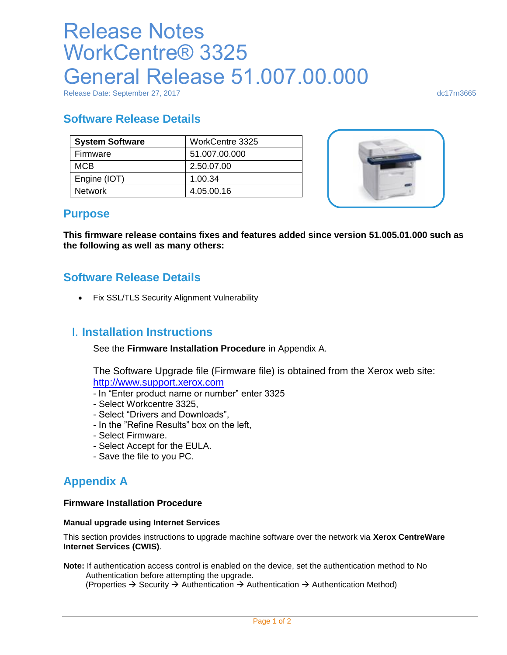# Release Notes WorkCentre® 3325 General Release 51.007.00.000

Release Date: September 27, 2017 dc17rn3665

## **Software Release Details**

| <b>System Software</b> | WorkCentre 3325 |
|------------------------|-----------------|
| Firmware               | 51.007.00.000   |
| <b>MCB</b>             | 2.50.07.00      |
| Engine (IOT)           | 1.00.34         |
| <b>Network</b>         | 4.05.00.16      |



## **Purpose**

**This firmware release contains fixes and features added since version 51.005.01.000 such as the following as well as many others:**

## **Software Release Details**

Fix SSL/TLS Security Alignment Vulnerability

## I. **Installation Instructions**

See the **Firmware Installation Procedure** in Appendix A.

The Software Upgrade file (Firmware file) is obtained from the Xerox web site: [http://www.support.xerox.com](http://www.support.xerox.com/)

- In "Enter product name or number" enter 3325
- Select Workcentre 3325,
- Select "Drivers and Downloads",
- In the "Refine Results" box on the left,
- Select Firmware.
- Select Accept for the EULA.
- Save the file to you PC.

# **Appendix A**

#### **Firmware Installation Procedure**

#### **Manual upgrade using Internet Services**

This section provides instructions to upgrade machine software over the network via **Xerox CentreWare Internet Services (CWIS)**.

**Note:** If authentication access control is enabled on the device, set the authentication method to No Authentication before attempting the upgrade.

(Properties  $\rightarrow$  Security  $\rightarrow$  Authentication  $\rightarrow$  Authentication  $\rightarrow$  Authentication Method)